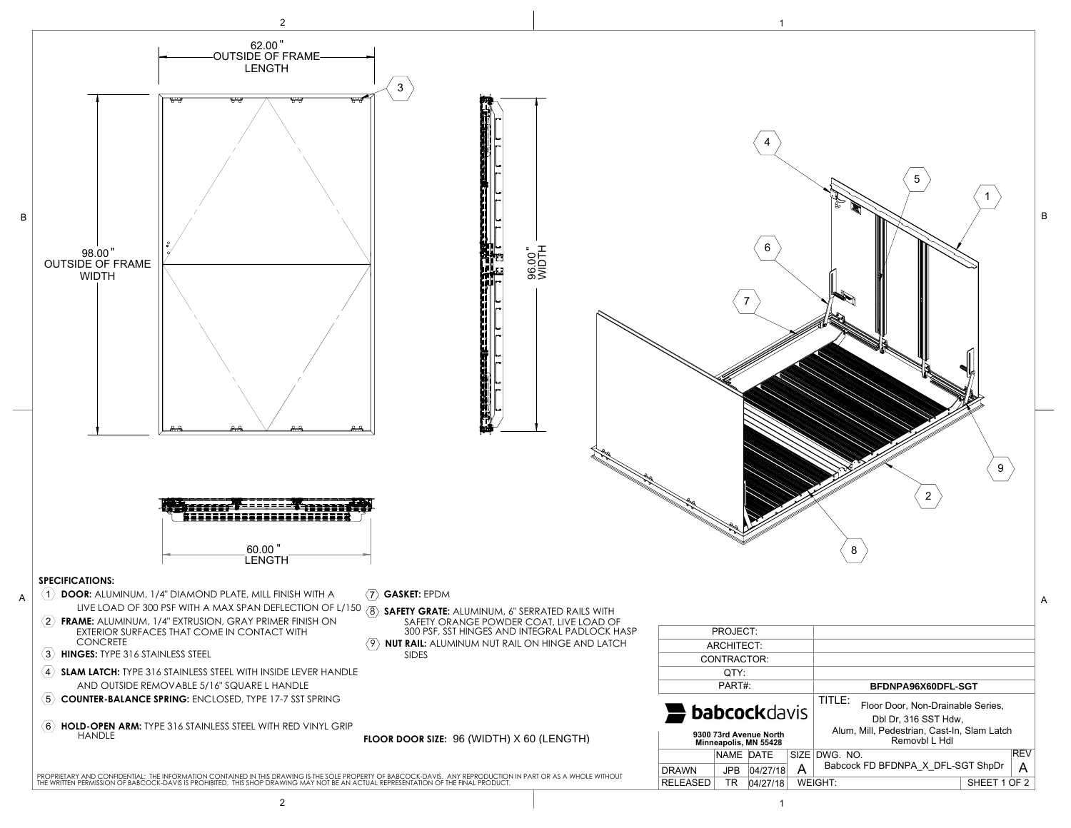98.00

60.00

96.00

BFDNPA96X60DFL-SGT